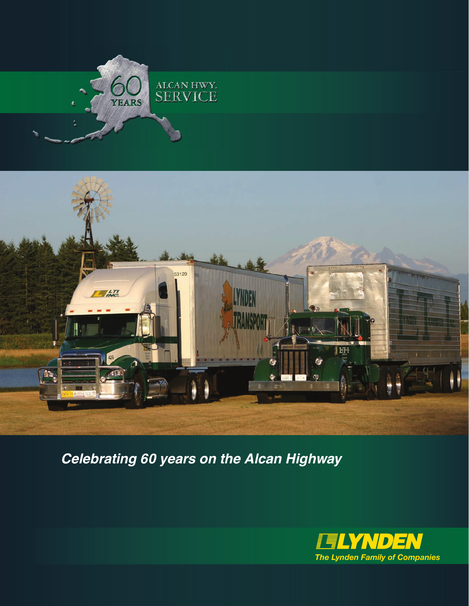



*Celebrating 60 years on the Alcan Highway*